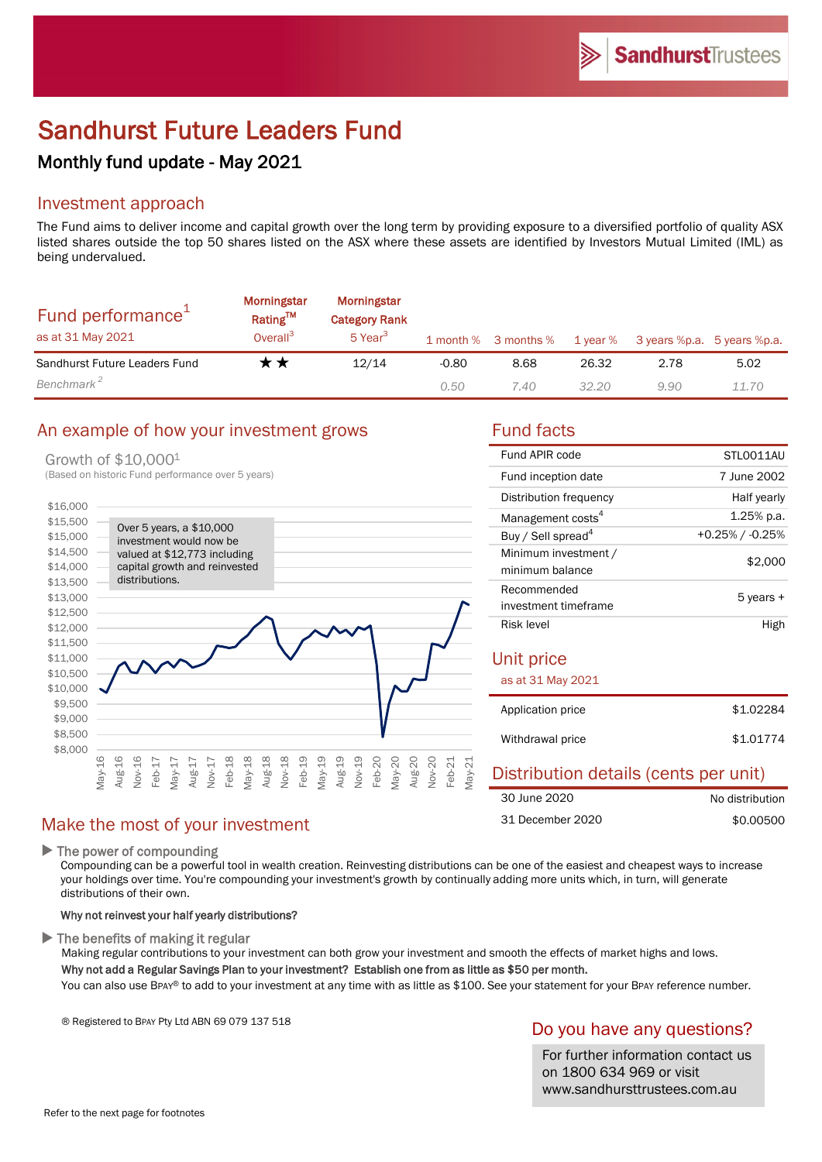# Sandhurst Future Leaders Fund

## Monthly fund update - May 2021

## Investment approach

The Fund aims to deliver income and capital growth over the long term by providing exposure to a diversified portfolio of quality ASX listed shares outside the top 50 shares listed on the ASX where these assets are identified by Investors Mutual Limited (IML) as being undervalued.

| Fund performance <sup>1</sup><br>as at 31 May 2021 | Morningstar<br><b>Rating™</b><br>Overall <sup>3</sup> | Morningstar<br><b>Category Rank</b><br>5 Year <sup>3</sup> |         | 1 month % 3 months % | 1 year % | 3 years %p.a. 5 years %p.a. |       |
|----------------------------------------------------|-------------------------------------------------------|------------------------------------------------------------|---------|----------------------|----------|-----------------------------|-------|
| Sandhurst Future Leaders Fund                      | r *                                                   | 12/14                                                      | $-0.80$ | 8.68                 | 26.32    | 2.78                        | 5.02  |
| Benchmark <sup>2</sup>                             |                                                       |                                                            | 0.50    | 7.40                 | 32.20    | 9.90                        | 11.70 |

## An example of how your investment grows Fund facts

### Growth of \$10,0001

(Based on historic Fund performance over 5 years)



30 June 2020 31 December 2020

| Fund APIR code                          | STLO011AU          |  |  |
|-----------------------------------------|--------------------|--|--|
| Fund inception date                     | 7 June 2002        |  |  |
| Distribution frequency                  | Half yearly        |  |  |
| Management costs <sup>4</sup>           | 1.25% p.a.         |  |  |
| Buy / Sell spread <sup>4</sup>          | $+0.25\%$ / -0.25% |  |  |
| Minimum investment /<br>minimum balance | \$2,000            |  |  |
| Recommended<br>investment timeframe     | 5 years +          |  |  |
| Risk level                              | High               |  |  |
| Unit price                              |                    |  |  |
| as at 31 May 2021                       |                    |  |  |
| Application price                       | \$1.02284          |  |  |
| Withdrawal price                        | \$1.01774          |  |  |
|                                         |                    |  |  |

Distribution details (cents per unit)

No distribution \$0.00500

## Make the most of your investment

 $\blacktriangleright$  The power of compounding

Compounding can be a powerful tool in wealth creation. Reinvesting distributions can be one of the easiest and cheapest ways to increase your holdings over time. You're compounding your investment's growth by continually adding more units which, in turn, will generate distributions of their own.

#### Why not reinvest your half yearly distributions?

 $\blacktriangleright$  The benefits of making it regular

Making regular contributions to your investment can both grow your investment and smooth the effects of market highs and lows. Why not add a Regular Savings Plan to your investment? Establish one from as little as \$50 per month.

You can also use BPAY® to add to your investment at any time with as little as \$100. See your statement for your BPAY reference number.

® Registered to BPAY Pty Ltd ABN 69 079 137 518

## Do you have any questions?

For further information contact us on 1800 634 969 or visit www.sandhursttrustees.com.au